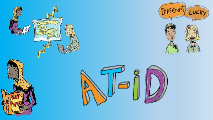





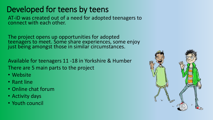#### Developed for teens by teens

AT-iD was created out of a need for adopted teenagers to connect with each other.

The project opens up opportunities for adopted teenagers to meet. Some share experiences, some enjoy just being amongst those in similar circumstances.

Available for teenagers 11 -18 in Yorkshire & Humber There are 5 main parts to the project

- Website
- Rant line
- Online chat forum
- Activity days
- Youth council

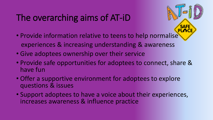# The overarching aims of AT-iD

- Provide information relative to teens to help normalise experiences & increasing understanding & awareness
- Give adoptees ownership over their service
- Provide safe opportunities for adoptees to connect, share & have fun
- Offer a supportive environment for adoptees to explore questions & issues
- Support adoptees to have a voice about their experiences, increases awareness & influence practice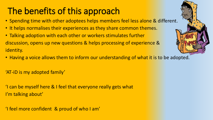# The benefits of this approach

- Spending time with other adoptees helps members feel less alone & different.
- It helps normalises their experiences as they share common themes.
- Talking adoption with each other or workers stimulates further discussion, opens up new questions & helps processing of experience & identity.
- Having a voice allows them to inform our understanding of what it is to be adopted.

'AT-iD is my adopted family'

'I can be myself here & I feel that everyone really gets what I'm talking about'

'I feel more confident & proud of who I am'

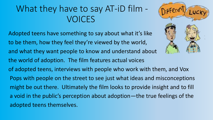#### What they have to say AT-iD film - VOICES

Adopted teens have something to say about what it's like to be them, how they feel they're viewed by the world, and what they want people to know and understand about the world of adoption. The film features actual voices of adopted teens, interviews with people who work with them, and Vox Pops with people on the street to see just what ideas and misconceptions might be out there. Ultimately the film looks to provide insight and to fill a void in the public's perception about adoption—the true feelings of the adopted teens themselves.

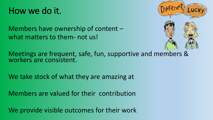### How we do it.



Members have ownership of content – what matters to them- not us!

Meetings are frequent, safe, fun, supportive and members & workers are consistent.

We take stock of what they are amazing at

Members are valued for their contribution

We provide visible outcomes for their work